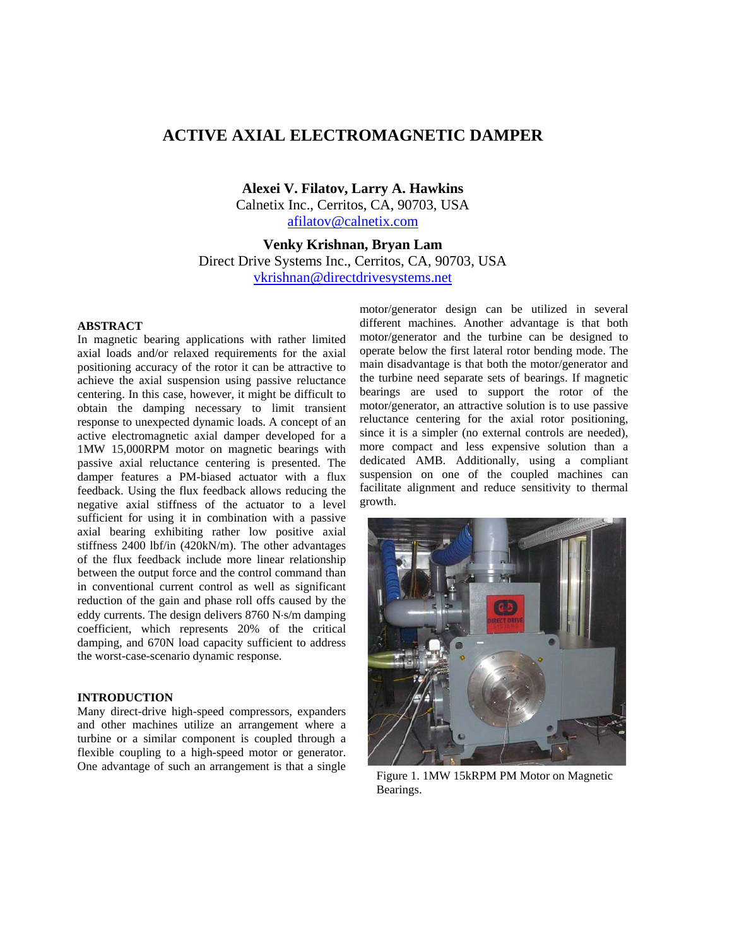# **ACTIVE AXIAL ELECTROMAGNETIC DAMPER**

**Alexei V. Filatov, Larry A. Hawkins**  Calnetix Inc., Cerritos, CA, 90703, USA afilatov@calnetix.com

**Venky Krishnan, Bryan Lam**  Direct Drive Systems Inc., Cerritos, CA, 90703, USA vkrishnan@directdrivesystems.net

#### **ABSTRACT**

In magnetic bearing applications with rather limited axial loads and/or relaxed requirements for the axial positioning accuracy of the rotor it can be attractive to achieve the axial suspension using passive reluctance centering. In this case, however, it might be difficult to obtain the damping necessary to limit transient response to unexpected dynamic loads. A concept of an active electromagnetic axial damper developed for a 1MW 15,000RPM motor on magnetic bearings with passive axial reluctance centering is presented. The damper features a PM-biased actuator with a flux feedback. Using the flux feedback allows reducing the negative axial stiffness of the actuator to a level sufficient for using it in combination with a passive axial bearing exhibiting rather low positive axial stiffness 2400 lbf/in (420kN/m). The other advantages of the flux feedback include more linear relationship between the output force and the control command than in conventional current control as well as significant reduction of the gain and phase roll offs caused by the eddy currents. The design delivers 8760 N⋅s/m damping coefficient, which represents 20% of the critical damping, and 670N load capacity sufficient to address the worst-case-scenario dynamic response.

# **INTRODUCTION**

Many direct-drive high-speed compressors, expanders and other machines utilize an arrangement where a turbine or a similar component is coupled through a flexible coupling to a high-speed motor or generator. One advantage of such an arrangement is that a single

motor/generator design can be utilized in several different machines. Another advantage is that both motor/generator and the turbine can be designed to operate below the first lateral rotor bending mode. The main disadvantage is that both the motor/generator and the turbine need separate sets of bearings. If magnetic bearings are used to support the rotor of the motor/generator, an attractive solution is to use passive reluctance centering for the axial rotor positioning, since it is a simpler (no external controls are needed), more compact and less expensive solution than a dedicated AMB. Additionally, using a compliant suspension on one of the coupled machines can facilitate alignment and reduce sensitivity to thermal growth.



Figure 1. 1MW 15kRPM PM Motor on Magnetic Bearings.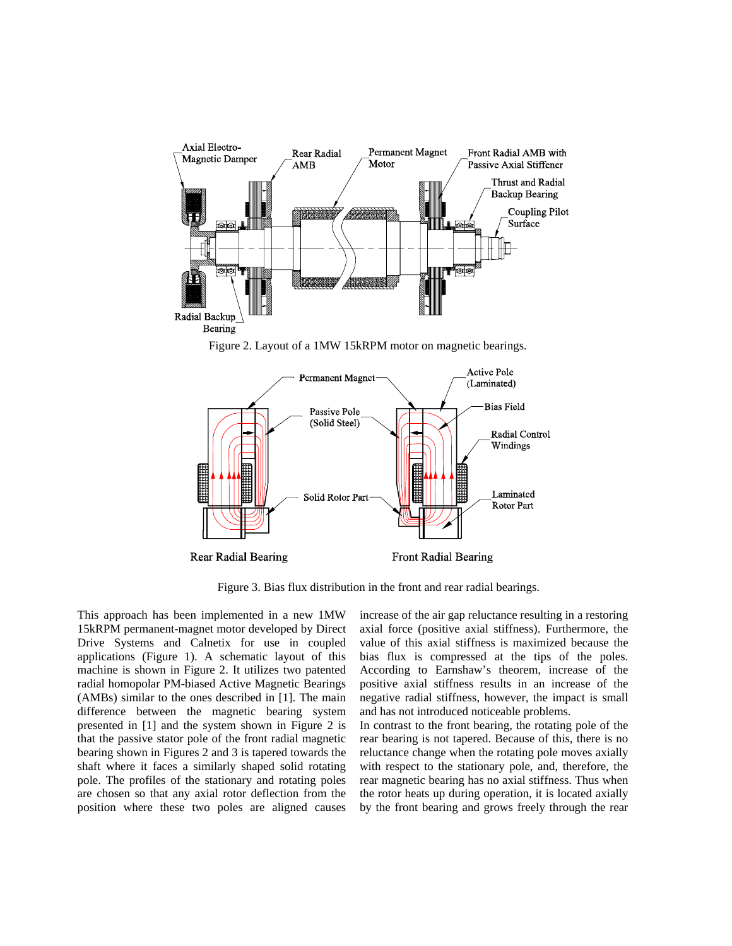

Figure 2. Layout of a 1MW 15kRPM motor on magnetic bearings.



Figure 3. Bias flux distribution in the front and rear radial bearings.

This approach has been implemented in a new 1MW 15kRPM permanent-magnet motor developed by Direct Drive Systems and Calnetix for use in coupled applications (Figure 1). A schematic layout of this machine is shown in Figure 2. It utilizes two patented radial homopolar PM-biased Active Magnetic Bearings (AMBs) similar to the ones described in [1]. The main difference between the magnetic bearing system presented in [1] and the system shown in Figure 2 is that the passive stator pole of the front radial magnetic bearing shown in Figures 2 and 3 is tapered towards the shaft where it faces a similarly shaped solid rotating pole. The profiles of the stationary and rotating poles are chosen so that any axial rotor deflection from the position where these two poles are aligned causes

increase of the air gap reluctance resulting in a restoring axial force (positive axial stiffness). Furthermore, the value of this axial stiffness is maximized because the bias flux is compressed at the tips of the poles. According to Earnshaw's theorem, increase of the positive axial stiffness results in an increase of the negative radial stiffness, however, the impact is small and has not introduced noticeable problems.

In contrast to the front bearing, the rotating pole of the rear bearing is not tapered. Because of this, there is no reluctance change when the rotating pole moves axially with respect to the stationary pole, and, therefore, the rear magnetic bearing has no axial stiffness. Thus when the rotor heats up during operation, it is located axially by the front bearing and grows freely through the rear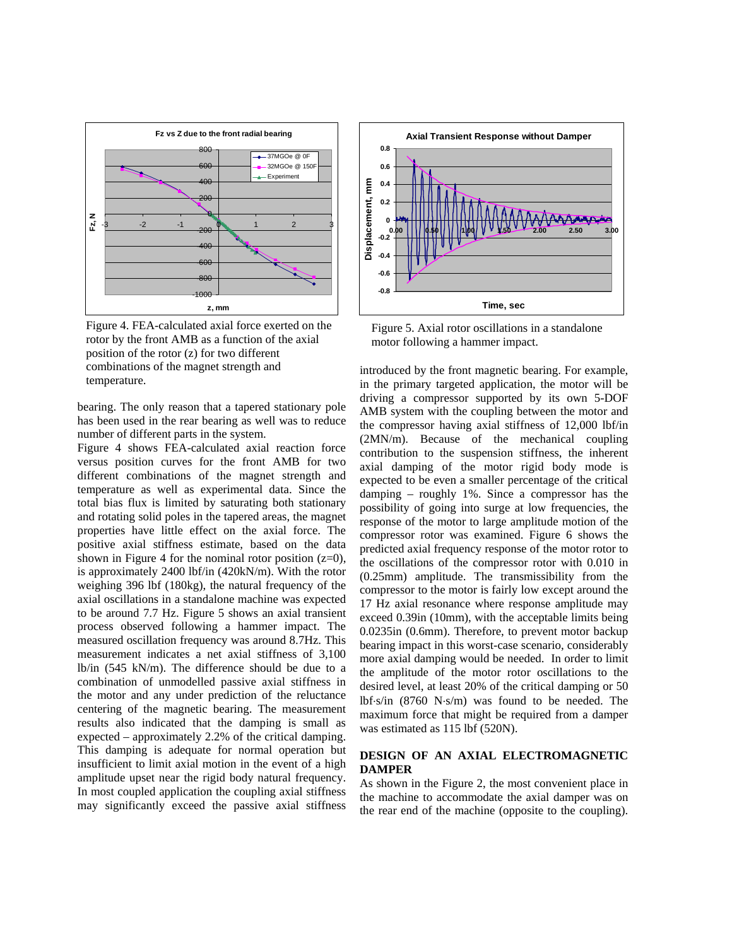

Figure 4. FEA-calculated axial force exerted on the rotor by the front AMB as a function of the axial position of the rotor (z) for two different combinations of the magnet strength and temperature.

bearing. The only reason that a tapered stationary pole has been used in the rear bearing as well was to reduce number of different parts in the system.

Figure 4 shows FEA-calculated axial reaction force versus position curves for the front AMB for two different combinations of the magnet strength and temperature as well as experimental data. Since the total bias flux is limited by saturating both stationary and rotating solid poles in the tapered areas, the magnet properties have little effect on the axial force. The positive axial stiffness estimate, based on the data shown in Figure 4 for the nominal rotor position  $(z=0)$ , is approximately 2400 lbf/in (420kN/m). With the rotor weighing 396 lbf (180kg), the natural frequency of the axial oscillations in a standalone machine was expected to be around 7.7 Hz. Figure 5 shows an axial transient process observed following a hammer impact. The measured oscillation frequency was around 8.7Hz. This measurement indicates a net axial stiffness of 3,100 lb/in (545 kN/m). The difference should be due to a combination of unmodelled passive axial stiffness in the motor and any under prediction of the reluctance centering of the magnetic bearing. The measurement results also indicated that the damping is small as expected – approximately 2.2% of the critical damping. This damping is adequate for normal operation but insufficient to limit axial motion in the event of a high amplitude upset near the rigid body natural frequency. In most coupled application the coupling axial stiffness may significantly exceed the passive axial stiffness



Figure 5. Axial rotor oscillations in a standalone motor following a hammer impact.

introduced by the front magnetic bearing. For example, in the primary targeted application, the motor will be driving a compressor supported by its own 5-DOF AMB system with the coupling between the motor and the compressor having axial stiffness of 12,000 lbf/in (2MN/m). Because of the mechanical coupling contribution to the suspension stiffness, the inherent axial damping of the motor rigid body mode is expected to be even a smaller percentage of the critical damping – roughly 1%. Since a compressor has the possibility of going into surge at low frequencies, the response of the motor to large amplitude motion of the compressor rotor was examined. Figure 6 shows the predicted axial frequency response of the motor rotor to the oscillations of the compressor rotor with 0.010 in (0.25mm) amplitude. The transmissibility from the compressor to the motor is fairly low except around the 17 Hz axial resonance where response amplitude may exceed 0.39in (10mm), with the acceptable limits being 0.0235in (0.6mm). Therefore, to prevent motor backup bearing impact in this worst-case scenario, considerably more axial damping would be needed. In order to limit the amplitude of the motor rotor oscillations to the desired level, at least 20% of the critical damping or 50 lbf⋅s/in (8760 N⋅s/m) was found to be needed. The maximum force that might be required from a damper was estimated as 115 lbf (520N).

### **DESIGN OF AN AXIAL ELECTROMAGNETIC DAMPER**

As shown in the Figure 2, the most convenient place in the machine to accommodate the axial damper was on the rear end of the machine (opposite to the coupling).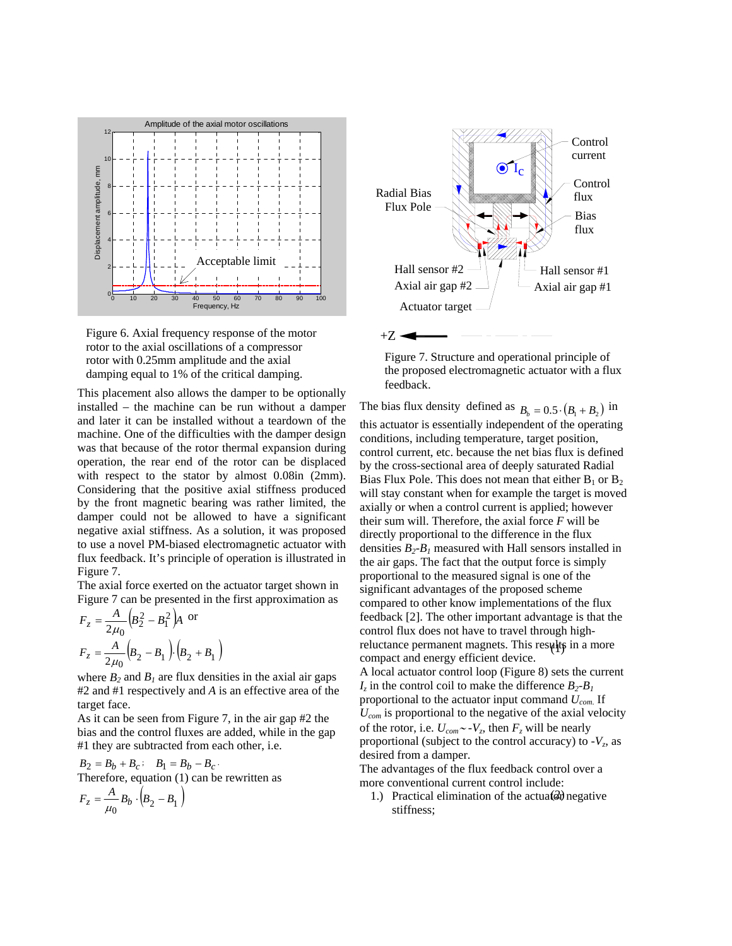

Figure 6. Axial frequency response of the motor rotor to the axial oscillations of a compressor rotor with 0.25mm amplitude and the axial damping equal to 1% of the critical damping.

This placement also allows the damper to be optionally installed – the machine can be run without a damper and later it can be installed without a teardown of the machine. One of the difficulties with the damper design was that because of the rotor thermal expansion during operation, the rear end of the rotor can be displaced with respect to the stator by almost 0.08in (2mm). Considering that the positive axial stiffness produced by the front magnetic bearing was rather limited, the damper could not be allowed to have a significant negative axial stiffness. As a solution, it was proposed to use a novel PM-biased electromagnetic actuator with flux feedback. It's principle of operation is illustrated in Figure 7.

The axial force exerted on the actuator target shown in Figure 7 can be presented in the first approximation as

$$
F_z = \frac{A}{2\mu_0} \left( B_2^2 - B_1^2 \right) A \text{ or}
$$
  

$$
F_z = \frac{A}{2\mu_0} \left( B_2 - B_1 \right) \cdot \left( B_2 + B_1 \right)
$$

where  $B_2$  and  $B_1$  are flux densities in the axial air gaps #2 and #1 respectively and *A* is an effective area of the target face.

As it can be seen from Figure 7, in the air gap #2 the bias and the control fluxes are added, while in the gap #1 they are subtracted from each other, i.e.

$$
B_2 = B_b + B_c; \quad B_1 = B_b - B_c.
$$
  
Therefore, equation (1) can be rewritten as  

$$
F_z = \frac{A}{\mu_0} B_b \cdot (B_2 - B_1)
$$



Figure 7. Structure and operational principle of the proposed electromagnetic actuator with a flux feedback.

reluctance permanent magnets. This results in a more The bias flux density defined as  $B_b = 0.5 \cdot (B_1 + B_2)$  in this actuator is essentially independent of the operating conditions, including temperature, target position, control current, etc. because the net bias flux is defined by the cross-sectional area of deeply saturated Radial Bias Flux Pole. This does not mean that either  $B_1$  or  $B_2$ will stay constant when for example the target is moved axially or when a control current is applied; however their sum will. Therefore, the axial force *F* will be directly proportional to the difference in the flux densities  $B_2 - B_1$  measured with Hall sensors installed in the air gaps. The fact that the output force is simply proportional to the measured signal is one of the significant advantages of the proposed scheme compared to other know implementations of the flux feedback [2]. The other important advantage is that the control flux does not have to travel through highcompact and energy efficient device. A local actuator control loop (Figure 8) sets the current  $I_z$  in the control coil to make the difference  $B_2 - B_1$ proportional to the actuator input command *Ucom*. If *Ucom* is proportional to the negative of the axial velocity of the rotor, i.e. *Ucom*∼ *-Vz*, then *Fz* will be nearly proportional (subject to the control accuracy) to  $-V_z$ , as desired from a damper.

The advantages of the flux feedback control over a more conventional current control include:

1.) Practical elimination of the actual  $\partial y$  negative stiffness;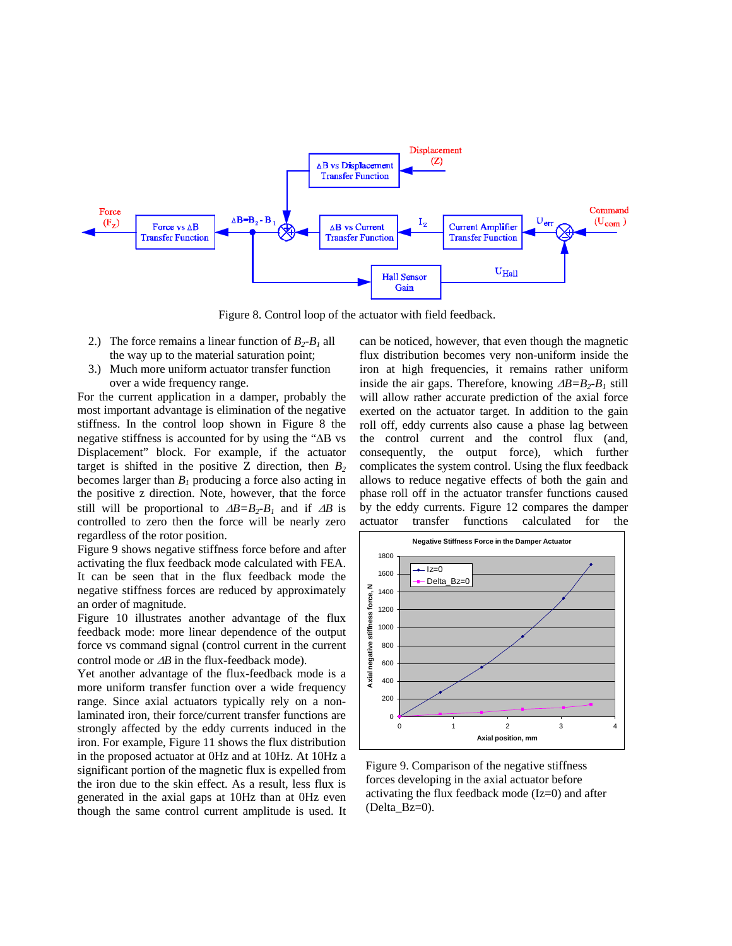

Figure 8. Control loop of the actuator with field feedback.

- 2.) The force remains a linear function of  $B_2 B_1$  all the way up to the material saturation point;
- 3.) Much more uniform actuator transfer function over a wide frequency range.

For the current application in a damper, probably the most important advantage is elimination of the negative stiffness. In the control loop shown in Figure 8 the negative stiffness is accounted for by using the "ΔB vs Displacement" block. For example, if the actuator target is shifted in the positive Z direction, then  $B_2$ becomes larger than  $B_1$  producing a force also acting in the positive z direction. Note, however, that the force still will be proportional to  $\Delta B = B_2 - B_1$  and if  $\Delta B$  is controlled to zero then the force will be nearly zero regardless of the rotor position.

Figure 9 shows negative stiffness force before and after activating the flux feedback mode calculated with FEA. It can be seen that in the flux feedback mode the negative stiffness forces are reduced by approximately an order of magnitude.

Figure 10 illustrates another advantage of the flux feedback mode: more linear dependence of the output force vs command signal (control current in the current control mode or Δ*B* in the flux-feedback mode).

Yet another advantage of the flux-feedback mode is a more uniform transfer function over a wide frequency range. Since axial actuators typically rely on a nonlaminated iron, their force/current transfer functions are strongly affected by the eddy currents induced in the iron. For example, Figure 11 shows the flux distribution in the proposed actuator at 0Hz and at 10Hz. At 10Hz a significant portion of the magnetic flux is expelled from the iron due to the skin effect. As a result, less flux is generated in the axial gaps at 10Hz than at 0Hz even though the same control current amplitude is used. It can be noticed, however, that even though the magnetic flux distribution becomes very non-uniform inside the iron at high frequencies, it remains rather uniform inside the air gaps. Therefore, knowing  $\Delta B = B_2 - B_1$  still will allow rather accurate prediction of the axial force exerted on the actuator target. In addition to the gain roll off, eddy currents also cause a phase lag between the control current and the control flux (and, consequently, the output force), which further complicates the system control. Using the flux feedback allows to reduce negative effects of both the gain and phase roll off in the actuator transfer functions caused by the eddy currents. Figure 12 compares the damper actuator transfer functions calculated for the



Figure 9. Comparison of the negative stiffness forces developing in the axial actuator before activating the flux feedback mode (Iz=0) and after (Delta\_Bz=0).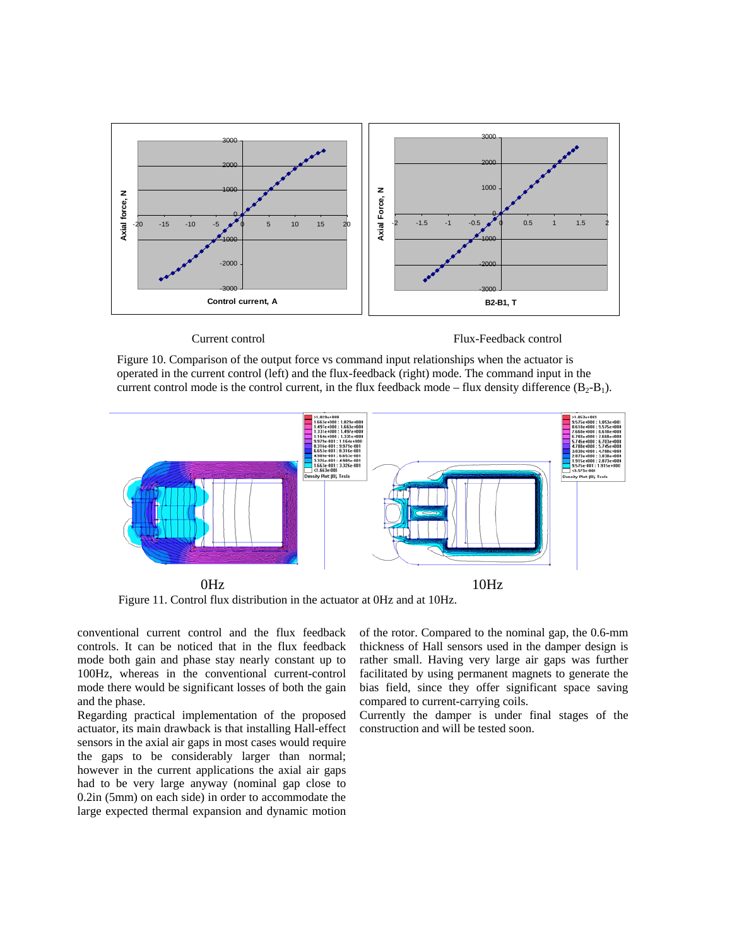

Current control Flux-Feedback control

Figure 10. Comparison of the output force vs command input relationships when the actuator is operated in the current control (left) and the flux-feedback (right) mode. The command input in the current control mode is the control current, in the flux feedback mode – flux density difference  $(B_2-B_1)$ .



Figure 11. Control flux distribution in the actuator at 0Hz and at 10Hz.

conventional current control and the flux feedback controls. It can be noticed that in the flux feedback mode both gain and phase stay nearly constant up to 100Hz, whereas in the conventional current-control mode there would be significant losses of both the gain and the phase.

Regarding practical implementation of the proposed actuator, its main drawback is that installing Hall-effect sensors in the axial air gaps in most cases would require the gaps to be considerably larger than normal; however in the current applications the axial air gaps had to be very large anyway (nominal gap close to 0.2in (5mm) on each side) in order to accommodate the large expected thermal expansion and dynamic motion of the rotor. Compared to the nominal gap, the 0.6-mm thickness of Hall sensors used in the damper design is rather small. Having very large air gaps was further facilitated by using permanent magnets to generate the bias field, since they offer significant space saving compared to current-carrying coils.

Currently the damper is under final stages of the construction and will be tested soon.